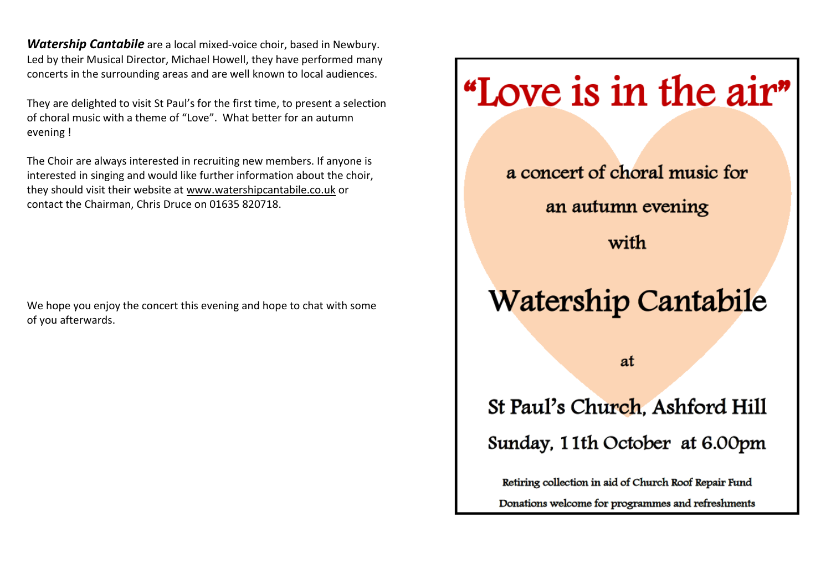*Watership Cantabile* are a local mixed-voice choir, based in Newbury. Led by their Musical Director, Michael Howell, they have performed many concerts in the surrounding areas and are well known to local audiences.

They are delighted to visit St Paul's for the first time, to present a selection of choral music with a theme of "Love". What better for an autumn evening !

The Choir are always interested in recruiting new members. If anyone is interested in singing and would like further information about the choir, they should visit their website at [www.watershipcantabile.co.uk](http://www.watershipcantabile.co.uk/) or contact the Chairman, Chris Druce on 01635 820718.

We hope you enjoy the concert this evening and hope to chat with some of you afterwards.

## "Love is in the air"

a concert of choral music for an autumn evening with **Watership Cantabile** at St Paul's Church, Ashford Hill Sunday, 11th October at 6.00pm

Retiring collection in aid of Church Roof Repair Fund Donations welcome for programmes and refreshments